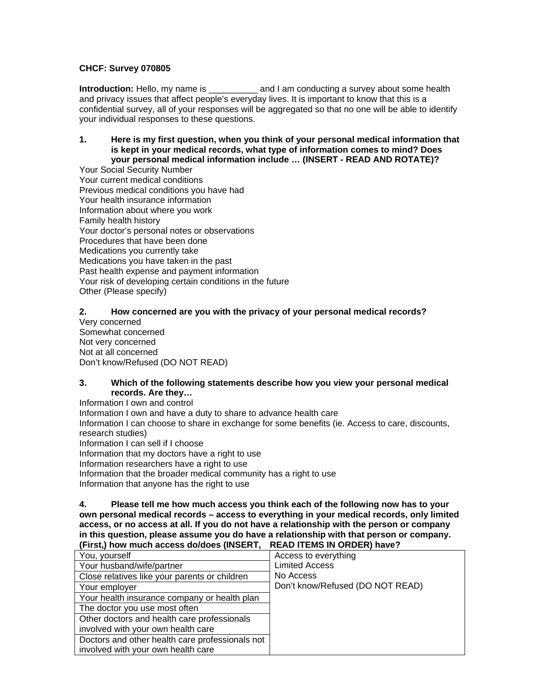## **CHCF: Survey 070805**

**Introduction:** Hello, my name is \_\_\_\_\_\_\_\_\_\_\_\_\_ and I am conducting a survey about some health and privacy issues that affect people's everyday lives. It is important to know that this is a confidential survey, all of your responses will be aggregated so that no one will be able to identify your individual responses to these questions.

**1. Here is my first question, when you think of your personal medical information that is kept in your medical records, what type of information comes to mind? Does your personal medical information include … (INSERT - READ AND ROTATE)?**

Your Social Security Number Your current medical conditions Previous medical conditions you have had Your health insurance information Information about where you work Family health history Your doctor's personal notes or observations Procedures that have been done Medications you currently take Medications you have taken in the past Past health expense and payment information Your risk of developing certain conditions in the future Other (Please specify)

## **2. How concerned are you with the privacy of your personal medical records?**

Very concerned Somewhat concerned Not very concerned Not at all concerned Don't know/Refused (DO NOT READ)

#### **3. Which of the following statements describe how you view your personal medical records. Are they…**

Information I own and control

Information I own and have a duty to share to advance health care Information I can choose to share in exchange for some benefits (ie. Access to care, discounts, research studies) Information I can sell if I choose Information that my doctors have a right to use Information researchers have a right to use Information that the broader medical community has a right to use Information that anyone has the right to use

**4. Please tell me how much access you think each of the following now has to your own personal medical records – access to everything in your medical records, only limited access, or no access at all. If you do not have a relationship with the person or company in this question, please assume you do have a relationship with that person or company. (First,) how much access do/does (INSERT, READ ITEMS IN ORDER) have?**

| You, yourself                                   | Access to everything             |
|-------------------------------------------------|----------------------------------|
| Your husband/wife/partner                       | <b>Limited Access</b>            |
| Close relatives like your parents or children   | No Access                        |
| Your employer                                   | Don't know/Refused (DO NOT READ) |
| Your health insurance company or health plan    |                                  |
| The doctor you use most often                   |                                  |
| Other doctors and health care professionals     |                                  |
| involved with your own health care              |                                  |
| Doctors and other health care professionals not |                                  |
| involved with your own health care              |                                  |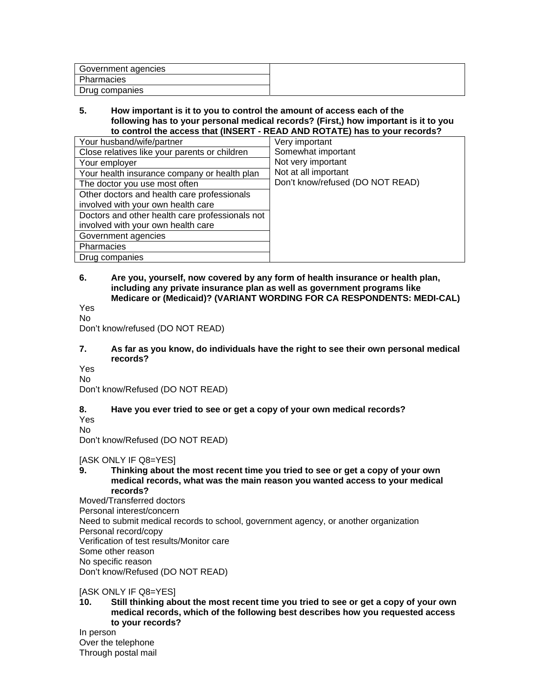| Government agencies |  |
|---------------------|--|
| Pharmacies          |  |
| Drug companies      |  |

#### **5. How important is it to you to control the amount of access each of the following has to your personal medical records? (First,) how important is it to you to control the access that (INSERT - READ AND ROTATE) has to your records?**

| Your husband/wife/partner                       | Very important                   |
|-------------------------------------------------|----------------------------------|
| Close relatives like your parents or children   | Somewhat important               |
| Your employer                                   | Not very important               |
| Your health insurance company or health plan    | Not at all important             |
| The doctor you use most often                   | Don't know/refused (DO NOT READ) |
| Other doctors and health care professionals     |                                  |
| involved with your own health care              |                                  |
| Doctors and other health care professionals not |                                  |
| involved with your own health care              |                                  |
| Government agencies                             |                                  |
| Pharmacies                                      |                                  |
| Drug companies                                  |                                  |

#### **6. Are you, yourself, now covered by any form of health insurance or health plan, including any private insurance plan as well as government programs like Medicare or (Medicaid)? (VARIANT WORDING FOR CA RESPONDENTS: MEDI-CAL)**

Yes

No

Don't know/refused (DO NOT READ)

## **7. As far as you know, do individuals have the right to see their own personal medical records?**

Yes No

Don't know/Refused (DO NOT READ)

# **8. Have you ever tried to see or get a copy of your own medical records?**

Yes No

Don't know/Refused (DO NOT READ)

[ASK ONLY IF Q8=YES]

**9. Thinking about the most recent time you tried to see or get a copy of your own medical records, what was the main reason you wanted access to your medical records?** 

Moved/Transferred doctors Personal interest/concern Need to submit medical records to school, government agency, or another organization Personal record/copy Verification of test results/Monitor care Some other reason No specific reason Don't know/Refused (DO NOT READ)

[ASK ONLY IF Q8=YES]

**10. Still thinking about the most recent time you tried to see or get a copy of your own medical records, which of the following best describes how you requested access to your records?**

In person Over the telephone Through postal mail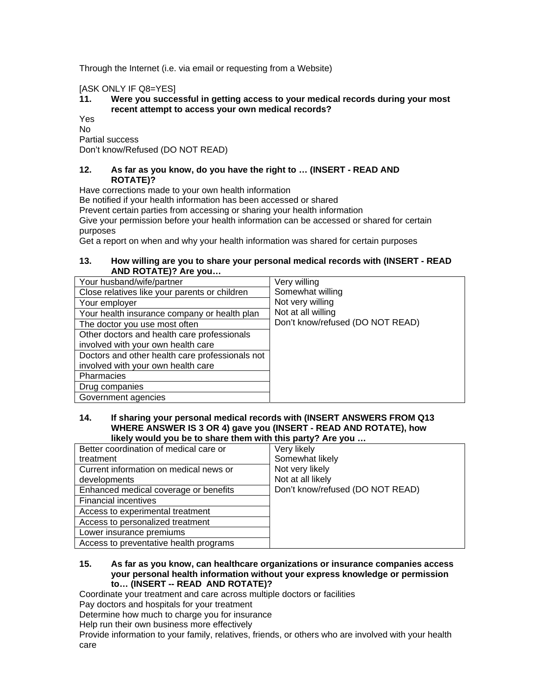Through the Internet (i.e. via email or requesting from a Website)

[ASK ONLY IF Q8=YES]

## **11. Were you successful in getting access to your medical records during your most recent attempt to access your own medical records?**

Yes  $N<sub>0</sub>$ 

Partial success

Don't know/Refused (DO NOT READ)

### **12. As far as you know, do you have the right to … (INSERT - READ AND ROTATE)?**

Have corrections made to your own health information

Be notified if your health information has been accessed or shared

Prevent certain parties from accessing or sharing your health information

Give your permission before your health information can be accessed or shared for certain purposes

Get a report on when and why your health information was shared for certain purposes

### **13. How willing are you to share your personal medical records with (INSERT - READ AND ROTATE)? Are you…**

| Your husband/wife/partner                       | Very willing                     |
|-------------------------------------------------|----------------------------------|
| Close relatives like your parents or children   | Somewhat willing                 |
| Your employer                                   | Not very willing                 |
| Your health insurance company or health plan    | Not at all willing               |
| The doctor you use most often                   | Don't know/refused (DO NOT READ) |
| Other doctors and health care professionals     |                                  |
| involved with your own health care              |                                  |
| Doctors and other health care professionals not |                                  |
| involved with your own health care              |                                  |
| Pharmacies                                      |                                  |
| Drug companies                                  |                                  |
| Government agencies                             |                                  |

#### **14. If sharing your personal medical records with (INSERT ANSWERS FROM Q13 WHERE ANSWER IS 3 OR 4) gave you (INSERT - READ AND ROTATE), how likely would you be to share them with this party? Are you …**

| Better coordination of medical care or | Very likely                      |
|----------------------------------------|----------------------------------|
| treatment                              | Somewhat likely                  |
| Current information on medical news or | Not very likely                  |
| developments                           | Not at all likely                |
| Enhanced medical coverage or benefits  | Don't know/refused (DO NOT READ) |
| <b>Financial incentives</b>            |                                  |
| Access to experimental treatment       |                                  |
| Access to personalized treatment       |                                  |
| Lower insurance premiums               |                                  |
| Access to preventative health programs |                                  |

#### **15. As far as you know, can healthcare organizations or insurance companies access your personal health information without your express knowledge or permission to… (INSERT -- READ AND ROTATE)?**

Coordinate your treatment and care across multiple doctors or facilities

Pay doctors and hospitals for your treatment

Determine how much to charge you for insurance

Help run their own business more effectively

Provide information to your family, relatives, friends, or others who are involved with your health care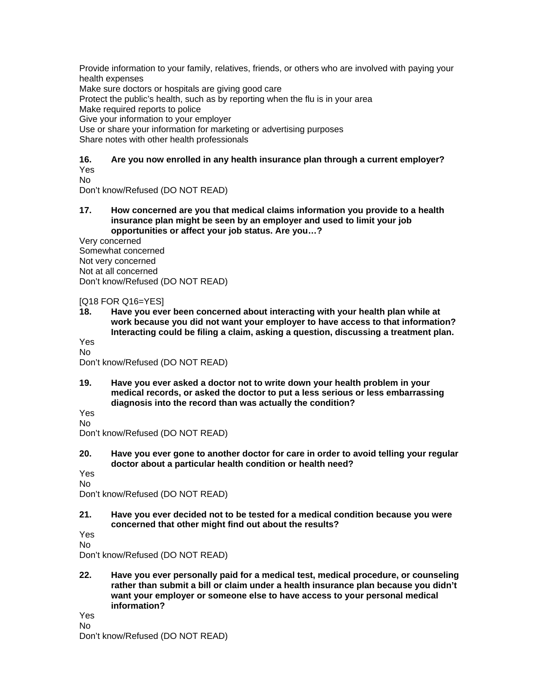Provide information to your family, relatives, friends, or others who are involved with paying your health expenses

Make sure doctors or hospitals are giving good care

Protect the public's health, such as by reporting when the flu is in your area

Make required reports to police

Give your information to your employer

Use or share your information for marketing or advertising purposes

Share notes with other health professionals

## **16. Are you now enrolled in any health insurance plan through a current employer?**  Yes

No

Don't know/Refused (DO NOT READ)

**17. How concerned are you that medical claims information you provide to a health insurance plan might be seen by an employer and used to limit your job opportunities or affect your job status. Are you…?** 

Very concerned Somewhat concerned Not very concerned Not at all concerned Don't know/Refused (DO NOT READ)

[Q18 FOR Q16=YES]

**18. Have you ever been concerned about interacting with your health plan while at work because you did not want your employer to have access to that information? Interacting could be filing a claim, asking a question, discussing a treatment plan.**  Yes

No

Don't know/Refused (DO NOT READ)

**19. Have you ever asked a doctor not to write down your health problem in your medical records, or asked the doctor to put a less serious or less embarrassing diagnosis into the record than was actually the condition?** 

Yes

No Don't know/Refused (DO NOT READ)

**20. Have you ever gone to another doctor for care in order to avoid telling your regular doctor about a particular health condition or health need?**

Yes

No Don't know/Refused (DO NOT READ)

**21. Have you ever decided not to be tested for a medical condition because you were concerned that other might find out about the results?**

Yes

No

Don't know/Refused (DO NOT READ)

**22. Have you ever personally paid for a medical test, medical procedure, or counseling rather than submit a bill or claim under a health insurance plan because you didn't want your employer or someone else to have access to your personal medical information?**

Yes No

Don't know/Refused (DO NOT READ)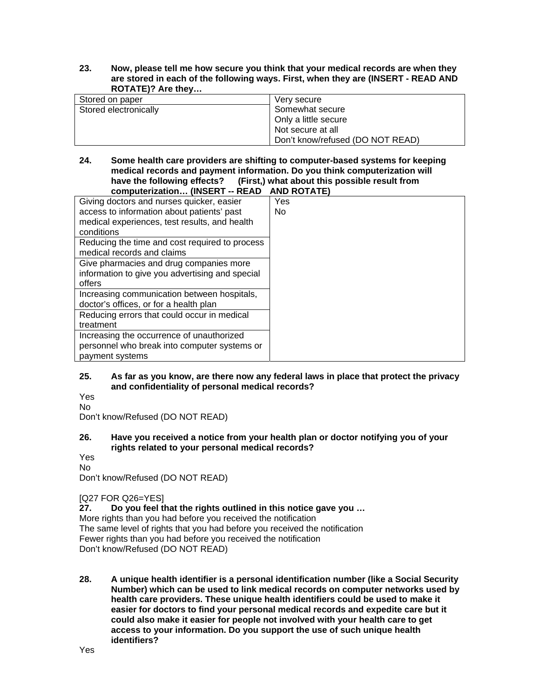**23. Now, please tell me how secure you think that your medical records are when they are stored in each of the following ways. First, when they are (INSERT - READ AND ROTATE)? Are they…** 

| Stored on paper       | Very secure                      |
|-----------------------|----------------------------------|
| Stored electronically | Somewhat secure                  |
|                       | Only a little secure             |
|                       | Not secure at all                |
|                       | Don't know/refused (DO NOT READ) |

#### **24. Some health care providers are shifting to computer-based systems for keeping medical records and payment information. Do you think computerization will (First,) what about this possible result from computerization… (INSERT -- READ AND ROTATE)**

| Giving doctors and nurses quicker, easier       | Yes |
|-------------------------------------------------|-----|
| access to information about patients' past      | No. |
| medical experiences, test results, and health   |     |
| conditions                                      |     |
| Reducing the time and cost required to process  |     |
| medical records and claims                      |     |
| Give pharmacies and drug companies more         |     |
| information to give you advertising and special |     |
| offers                                          |     |
| Increasing communication between hospitals,     |     |
| doctor's offices, or for a health plan          |     |
| Reducing errors that could occur in medical     |     |
| treatment                                       |     |
| Increasing the occurrence of unauthorized       |     |
| personnel who break into computer systems or    |     |
| payment systems                                 |     |
|                                                 |     |

## **25. As far as you know, are there now any federal laws in place that protect the privacy and confidentiality of personal medical records?**

Yes No

Don't know/Refused (DO NOT READ)

## **26. Have you received a notice from your health plan or doctor notifying you of your rights related to your personal medical records?**

Yes No

Don't know/Refused (DO NOT READ)

[Q27 FOR Q26=YES]

**27. Do you feel that the rights outlined in this notice gave you …**  More rights than you had before you received the notification The same level of rights that you had before you received the notification Fewer rights than you had before you received the notification Don't know/Refused (DO NOT READ)

**28. A unique health identifier is a personal identification number (like a Social Security Number) which can be used to link medical records on computer networks used by health care providers. These unique health identifiers could be used to make it easier for doctors to find your personal medical records and expedite care but it could also make it easier for people not involved with your health care to get access to your information. Do you support the use of such unique health identifiers?**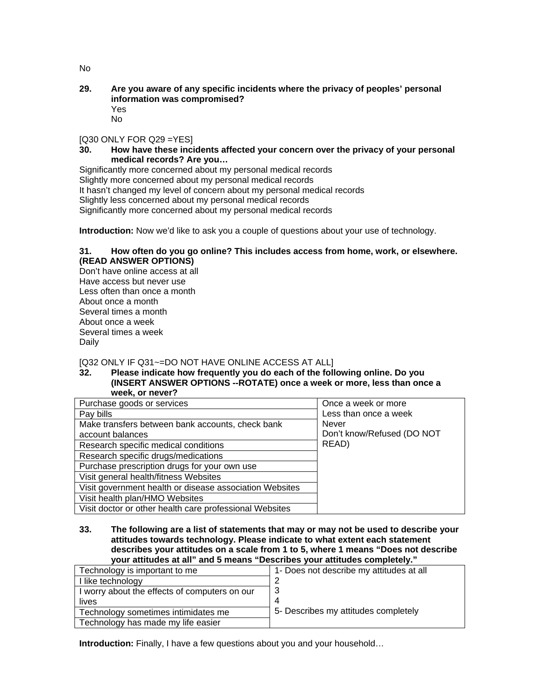No

#### **29. Are you aware of any specific incidents where the privacy of peoples' personal information was compromised?**  Yes

No

[Q30 ONLY FOR Q29 =YES]

**30. How have these incidents affected your concern over the privacy of your personal medical records? Are you…** 

Significantly more concerned about my personal medical records Slightly more concerned about my personal medical records It hasn't changed my level of concern about my personal medical records Slightly less concerned about my personal medical records Significantly more concerned about my personal medical records

**Introduction:** Now we'd like to ask you a couple of questions about your use of technology.

### **31. How often do you go online? This includes access from home, work, or elsewhere. (READ ANSWER OPTIONS)**

Don't have online access at all Have access but never use Less often than once a month About once a month Several times a month About once a week Several times a week Daily

[Q32 ONLY IF Q31~=DO NOT HAVE ONLINE ACCESS AT ALL]

**32. Please indicate how frequently you do each of the following online. Do you (INSERT ANSWER OPTIONS --ROTATE) once a week or more, less than once a week, or never?** 

| Purchase goods or services                              | Once a week or more        |
|---------------------------------------------------------|----------------------------|
| Pay bills                                               | Less than once a week      |
| Make transfers between bank accounts, check bank        | Never                      |
| account balances                                        | Don't know/Refused (DO NOT |
| Research specific medical conditions                    | READ)                      |
| Research specific drugs/medications                     |                            |
| Purchase prescription drugs for your own use            |                            |
| Visit general health/fitness Websites                   |                            |
| Visit government health or disease association Websites |                            |
| Visit health plan/HMO Websites                          |                            |
| Visit doctor or other health care professional Websites |                            |

**33. The following are a list of statements that may or may not be used to describe your attitudes towards technology. Please indicate to what extent each statement describes your attitudes on a scale from 1 to 5, where 1 means "Does not describe your attitudes at all" and 5 means "Describes your attitudes completely."** 

| Technology is important to me                 | 1- Does not describe my attitudes at all |
|-----------------------------------------------|------------------------------------------|
| I like technology                             |                                          |
| I worry about the effects of computers on our |                                          |
| lives                                         |                                          |
| Technology sometimes intimidates me           | 5- Describes my attitudes completely     |
| Technology has made my life easier            |                                          |

**Introduction:** Finally, I have a few questions about you and your household...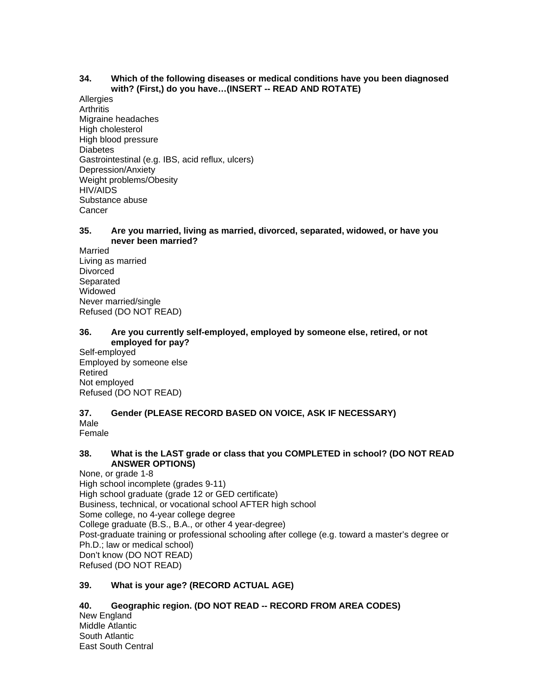#### **34. Which of the following diseases or medical conditions have you been diagnosed with? (First,) do you have…(INSERT -- READ AND ROTATE)**

**Allergies Arthritis** Migraine headaches High cholesterol High blood pressure **Diabetes** Gastrointestinal (e.g. IBS, acid reflux, ulcers) Depression/Anxiety Weight problems/Obesity HIV/AIDS Substance abuse **Cancer** 

#### **35. Are you married, living as married, divorced, separated, widowed, or have you never been married?**

Married Living as married Divorced Separated **Widowed** Never married/single Refused (DO NOT READ)

#### **36. Are you currently self-employed, employed by someone else, retired, or not employed for pay?**

Self-employed Employed by someone else Retired Not employed Refused (DO NOT READ)

#### **37. Gender (PLEASE RECORD BASED ON VOICE, ASK IF NECESSARY)**  Male

Female

## **38. What is the LAST grade or class that you COMPLETED in school? (DO NOT READ ANSWER OPTIONS)**

None, or grade 1-8 High school incomplete (grades 9-11) High school graduate (grade 12 or GED certificate) Business, technical, or vocational school AFTER high school Some college, no 4-year college degree College graduate (B.S., B.A., or other 4 year-degree) Post-graduate training or professional schooling after college (e.g. toward a master's degree or Ph.D.; law or medical school) Don't know (DO NOT READ) Refused (DO NOT READ)

## **39. What is your age? (RECORD ACTUAL AGE)**

# **40. Geographic region. (DO NOT READ -- RECORD FROM AREA CODES)**

New England Middle Atlantic South Atlantic East South Central